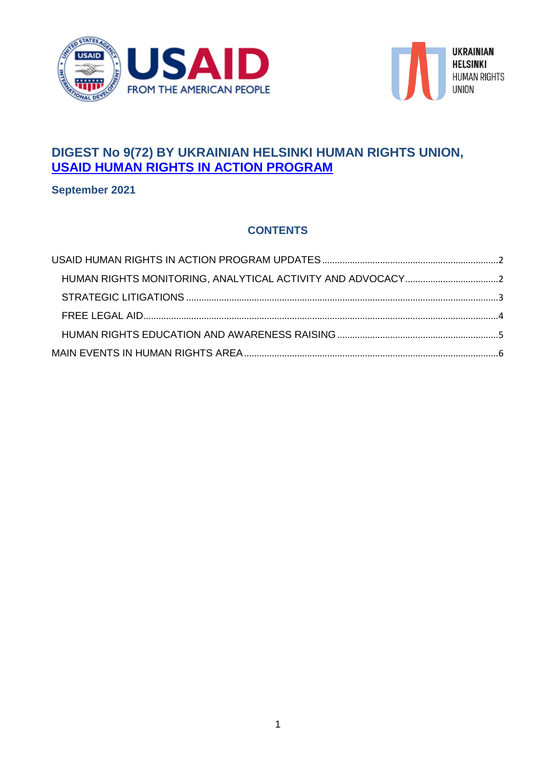



# **DIGEST No 9(72) BY UKRAINIAN HELSINKI HUMAN RIGHTS UNION, [USAID HUMAN RIGHTS IN ACTION PROGRAM](http://helsinki.org.ua/en/human-rights-in-action-program/)**

**September 2021**

## **CONTENTS**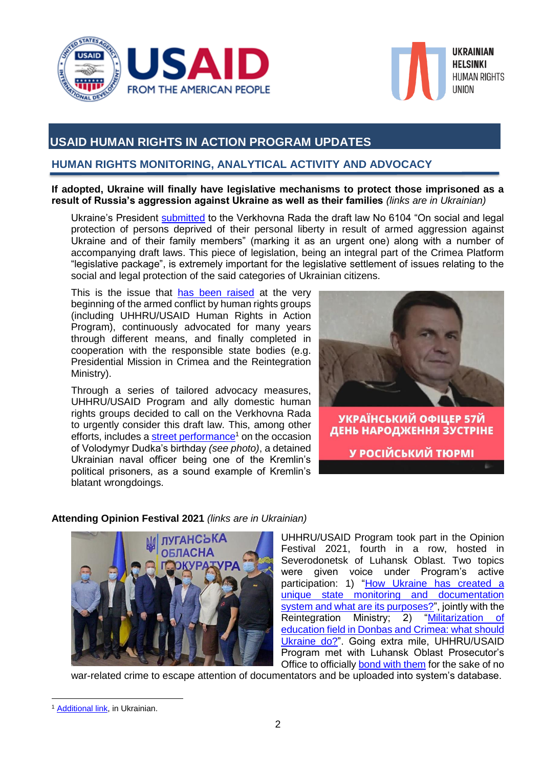



## <span id="page-1-0"></span>**USAID HUMAN RIGHTS IN ACTION PROGRAM UPDATES**

## <span id="page-1-1"></span>**HUMAN RIGHTS MONITORING, ANALYTICAL ACTIVITY AND ADVOCACY**

**If adopted, Ukraine will finally have legislative mechanisms to protect those imprisoned as a result of Russia's aggression against Ukraine as well as their families** *(links are in Ukrainian)*

Ukraine's President [submitted](https://www.facebook.com/ppu.gov.ua/posts/1765315710523506) to the Verkhovna Rada the draft law No 6104 "On social and legal protection of persons deprived of their personal liberty in result of armed aggression against Ukraine and of their family members" (marking it as an urgent one) along with a number of accompanying draft laws. This piece of legislation, being an integral part of the Crimea Platform "legislative package", is extremely important for the legislative settlement of issues relating to the social and legal protection of the said categories of Ukrainian citizens.

This is the issue that [has been raised](https://www.facebook.com/Ugspl/posts/4404814479566474) at the very beginning of the armed conflict by human rights groups (including UHHRU/USAID Human Rights in Action Program), continuously advocated for many vears through different means, and finally completed in cooperation with the responsible state bodies (e.g. Presidential Mission in Crimea and the Reintegration Ministry).

Through a series of tailored advocacy measures, UHHRU/USAID Program and ally domestic human rights groups decided to call on the Verkhovna Rada to urgently consider this draft law. This, among other efforts, includes a [street performance](https://www.facebook.com/Ugspl/posts/4418612768186645)<sup>1</sup> on the occasion of Volodymyr Dudka's birthday *(see photo)*, a detained Ukrainian naval officer being one of the Kremlin's political prisoners, as a sound example of Kremlin's blatant wrongdoings.



У РОСІЙСЬКИЙ ТЮРМІ

### **Attending Opinion Festival 2021** *(links are in Ukrainian)*



UHHRU/USAID Program took part in the Opinion Festival 2021, fourth in a row, hosted in Severodonetsk of Luhansk Oblast. Two topics were given voice under Program's active participation: 1) ["How Ukraine has created a](https://www.facebook.com/Ugspl/posts/4357670107614245)  [unique state monitoring and documentation](https://www.facebook.com/Ugspl/posts/4357670107614245)  [system and what are its purposes?"](https://www.facebook.com/Ugspl/posts/4357670107614245), jointly with the Reintegration Ministry; 2) ["Militarization of](https://www.facebook.com/Ugspl/posts/4362754960439093)  [education field in Donbas and Crimea: what should](https://www.facebook.com/Ugspl/posts/4362754960439093)  [Ukraine do?"](https://www.facebook.com/Ugspl/posts/4362754960439093). Going extra mile, UHHRU/USAID Program met with Luhansk Oblast Prosecutor's Office to officially [bond with them](https://www.facebook.com/Ugspl/posts/4338887222825867) for the sake of no

war-related crime to escape attention of documentators and be uploaded into system's database.

 $\overline{a}$ <sup>1</sup> [Additional link,](https://suspilne.media/167975-den-narodzenna-politvazna-dudki-iz-sum-ak-pidtrimuut-branca-kremla/) in Ukrainian.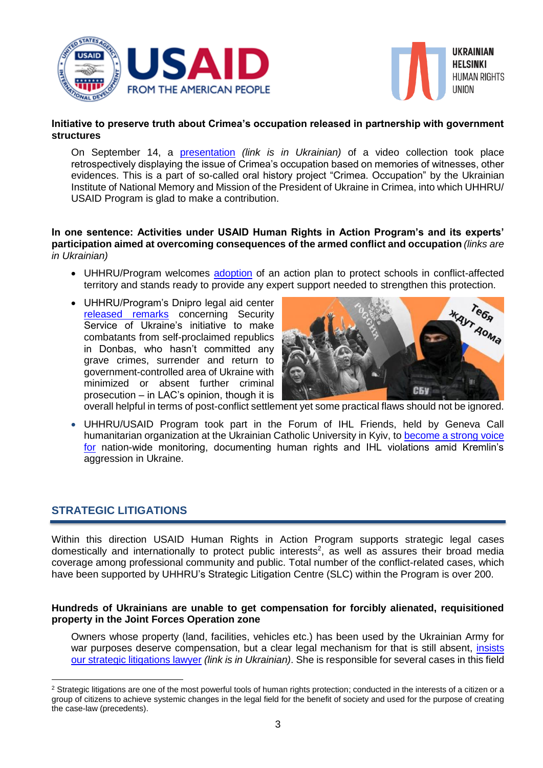



#### **Initiative to preserve truth about Crimea's occupation released in partnership with government structures**

On September 14, a [presentation](https://www.facebook.com/Ugspl/posts/4365954546785801) *(link is in Ukrainian)* of a video collection took place retrospectively displaying the issue of Crimea's occupation based on memories of witnesses, other evidences. This is a part of so-called oral history project "Crimea. Occupation" by the Ukrainian Institute of National Memory and Mission of the President of Ukraine in Crimea, into which UHHRU/ USAID Program is glad to make a contribution.

#### **In one sentence: Activities under USAID Human Rights in Action Program's and its experts' participation aimed at overcoming consequences of the armed conflict and occupation** *(links are in Ukrainian)*

- UHHRU/Program welcomes [adoption](https://www.facebook.com/Ugspl/posts/4390080254373230) of an action plan to protect schools in conflict-affected territory and stands ready to provide any expert support needed to strengthen this protection.
- UHHRU/Program's Dnipro legal aid center [released remarks](https://www.facebook.com/Ugspl/posts/4381955758519013) concerning Security Service of Ukraine's initiative to make combatants from self-proclaimed republics in Donbas, who hasn't committed any grave crimes, surrender and return to government-controlled area of Ukraine with minimized or absent further criminal prosecution – in LAC's opinion, though it is



overall helpful in terms of post-conflict settlement yet some practical flaws should not be ignored.

 UHHRU/USAID Program took part in the Forum of IHL Friends, held by Geneva Call humanitarian organization at the Ukrainian Catholic University in Kyiv, to [become a strong voice](https://www.facebook.com/Ugspl/posts/4385283234852932)  [for](https://www.facebook.com/Ugspl/posts/4385283234852932) nation-wide monitoring, documenting human rights and IHL violations amid Kremlin's aggression in Ukraine.

### <span id="page-2-0"></span>**STRATEGIC LITIGATIONS**

1

Within this direction USAID Human Rights in Action Program supports strategic legal cases domestically and internationally to protect public interests<sup>2</sup>, as well as assures their broad media coverage among professional community and public. Total number of the conflict-related cases, which have been supported by UHHRU's Strategic Litigation Centre (SLC) within the Program is over 200.

#### **Hundreds of Ukrainians are unable to get compensation for forcibly alienated, requisitioned property in the Joint Forces Operation zone**

Owners whose property (land, facilities, vehicles etc.) has been used by the Ukrainian Army for war purposes deserve compensation, but a clear legal mechanism for that is still absent, insists [our strategic litigations lawyer](https://www.facebook.com/Ugspl/posts/4347027652011824) *(link is in Ukrainian)*. She is responsible for several cases in this field

<sup>&</sup>lt;sup>2</sup> Strategic litigations are one of the most powerful tools of human rights protection; conducted in the interests of a citizen or a group of citizens to achieve systemic changes in the legal field for the benefit of society and used for the purpose of creating the case-law (precedents).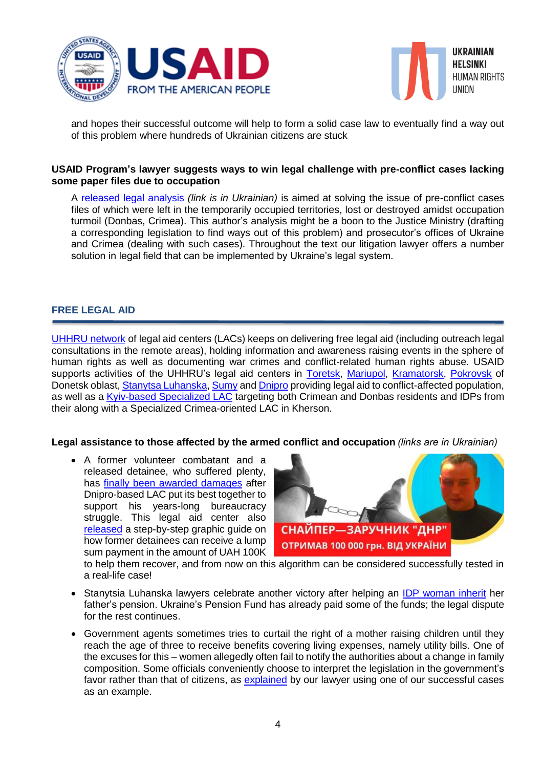



and hopes their successful outcome will help to form a solid case law to eventually find a way out of this problem where hundreds of Ukrainian citizens are stuck

#### **USAID Program's lawyer suggests ways to win legal challenge with pre-conflict cases lacking some paper files due to occupation**

A [released legal analysis](https://www.facebook.com/Ugspl/posts/4369255753122347) *(link is in Ukrainian)* is aimed at solving the issue of pre-conflict cases files of which were left in the temporarily occupied territories, lost or destroyed amidst occupation turmoil (Donbas, Crimea). This author's analysis might be a boon to the Justice Ministry (drafting a corresponding legislation to find ways out of this problem) and prosecutor's offices of Ukraine and Crimea (dealing with such cases). Throughout the text our litigation lawyer offers a number solution in legal field that can be implemented by Ukraine's legal system.

#### <span id="page-3-0"></span>**FREE LEGAL AID**

[UHHRU network](http://helsinki.org.ua/index.php?r=1.3.2) of legal aid centers (LACs) keeps on delivering free legal aid (including outreach legal consultations in the remote areas), holding information and awareness raising events in the sphere of human rights as well as documenting war crimes and conflict-related human rights abuse. USAID supports activities of the UHHRU's legal aid centers in [Toretsk,](https://www.facebook.com/UGSPL.Toretsk/?ref=br_rs) [Mariupol,](https://www.facebook.com/Приймальня-УГСПЛ-м-Маріуполі-175156829504672/?fref=ts) [Kramatorsk,](https://www.facebook.com/ugspl.kramatorsk/?ref=page_internal) [Pokrovsk](https://www.facebook.com/ugsplPOKROVSK/?fref=ts) of Donetsk oblast, [Stanytsa Luhanska,](https://www.facebook.com/%D0%9F%D1%80%D0%B8%D0%B9%D0%BC%D0%B0%D0%BB%D1%8C%D0%BD%D1%8F-%D0%A3%D0%93%D0%A1%D0%9F%D0%9B-%D1%82%D0%B5%D1%80-%D0%B3%D1%80%D0%BE%D0%BC%D0%B0%D0%B4-%D0%A1%D1%82%D0%B0%D0%BD%D0%B8%D1%87%D0%BD%D0%BE-%D0%9B%D1%83%D0%B3%D0%B0%D0%BD%D1%81%D1%8C%D0%BA%D0%BE%D0%B3%D0%BE-%D1%80%D0%B0%D0%B9%D0%BE%D0%BD%D1%83-115997769947749/?__tn__=%2CdK*F-R&eid=ARCQhsetadNjCUL7F1cYuZYHORZr3bbWhYMCG_un2jcmf7mSHsrqSCAYUxvPn9rD2sF9sHNoD0imrt2p) [Sumy](https://www.facebook.com/Приймальня-УГСПЛ-м-Суми-184659441906383/?hc_ref=NEWSFEED) an[d Dnipro](https://www.facebook.com/pgsich/) providing legal aid to conflict-affected population, as well as a [Kyiv-based Specialized LAC](https://www.facebook.com/pravdop.donbas.krym/?hc_ref=NEWSFEED&fref=nf) targeting both Crimean and Donbas residents and IDPs from their along with a Specialized Crimea-oriented LAC in Kherson.

#### **Legal assistance to those affected by the armed conflict and occupation** *(links are in Ukrainian)*

 A former volunteer combatant and a released detainee, who suffered plenty, has [finally been awarded damages](https://www.facebook.com/Ugspl/posts/4348242718556984) after Dnipro-based LAC put its best together to support his years-long bureaucracy struggle. This legal aid center also [released](https://www.facebook.com/Ugspl/posts/4326755800705676) a step-by-step graphic guide on how former detainees can receive a lump sum payment in the amount of UAH 100K



to help them recover, and from now on this algorithm can be considered successfully tested in a real-life case!

- Stanytsia Luhanska lawyers celebrate another victory after helping an [IDP woman inherit](https://www.facebook.com/Ugspl/posts/4335860576461865) her father's pension. Ukraine's Pension Fund has already paid some of the funds; the legal dispute for the rest continues.
- Government agents sometimes tries to curtail the right of a mother raising children until they reach the age of three to receive benefits covering living expenses, namely utility bills. One of the excuses for this – women allegedly often fail to notify the authorities about a change in family composition. Some officials conveniently choose to interpret the legislation in the government's favor rather than that of citizens, as [explained](https://www.facebook.com/Ugspl/posts/4412106325503956) by our lawyer using one of our successful cases as an example.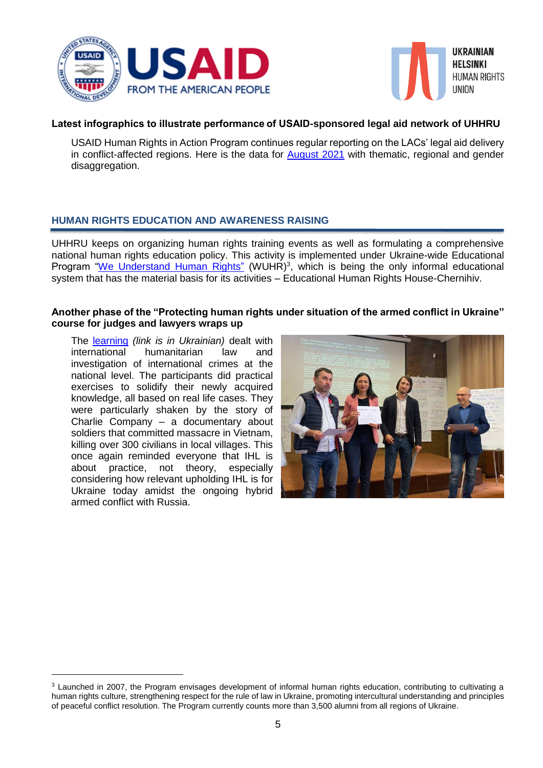



#### **Latest infographics to illustrate performance of USAID-sponsored legal aid network of UHHRU**

USAID Human Rights in Action Program continues regular reporting on the LACs' legal aid delivery in conflict-affected regions. Here is the data for **August 2021** with thematic, regional and gender disaggregation.

### <span id="page-4-0"></span>**HUMAN RIGHTS EDUCATION AND AWARENESS RAISING**

UHHRU keeps on organizing human rights training events as well as formulating a comprehensive national human rights education policy. This activity is implemented under Ukraine-wide Educational Program ["We Understand Human Rights"](http://edu.helsinki.org.ua/) (WUHR)<sup>3</sup>, which is being the only informal educational system that has the material basis for its activities – Educational Human Rights House-Chernihiv.

#### **Another phase of the "Protecting human rights under situation of the armed conflict in Ukraine" course for judges and lawyers wraps up**

The [learning](https://www.facebook.com/Ugspl/posts/4386733394707916) *(link is in Ukrainian)* dealt with international humanitarian law and investigation of international crimes at the national level. The participants did practical exercises to solidify their newly acquired knowledge, all based on real life cases. They were particularly shaken by the story of Charlie Company – a documentary about soldiers that committed massacre in Vietnam, killing over 300 civilians in local villages. This once again reminded everyone that IHL is about practice, not theory, especially considering how relevant upholding IHL is for Ukraine today amidst the ongoing hybrid armed conflict with Russia.

1



<sup>&</sup>lt;sup>3</sup> Launched in 2007, the Program envisages development of informal human rights education, contributing to cultivating a human rights culture, strengthening respect for the rule of law in Ukraine, promoting intercultural understanding and principles of peaceful conflict resolution. The Program currently counts more than 3,500 alumni from all regions of Ukraine.